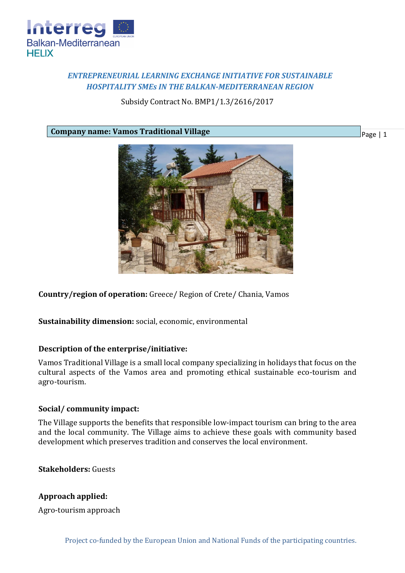

# *ENTREPRENEURIAL LEARNING EXCHANGE INITIATIVE FOR SUSTAINABLE HOSPITALITY SMEs IN THE BALKAN-MEDITERRANEAN REGION*

Subsidy Contract No. BMP1/1.3/2616/2017

**Company name: Vamos Traditional Village**



**Country/region of operation:** Greece/ Region of Crete/ Chania, Vamos

**Sustainability dimension:** social, economic, environmental

#### **Description of the enterprise/initiative:**

Vamos Traditional Village is a small local company specializing in holidays that focus on the cultural aspects of the Vamos area and promoting ethical sustainable eco-tourism and agro-tourism.

#### **Social/ community impact:**

The Village supports the benefits that responsible low-impact tourism can bring to the area and the local community. The Village aims to achieve these goals with community based development which preserves tradition and conserves the local environment.

**Stakeholders:** Guests

## **Approach applied:**

Agro-tourism approach

Page | 1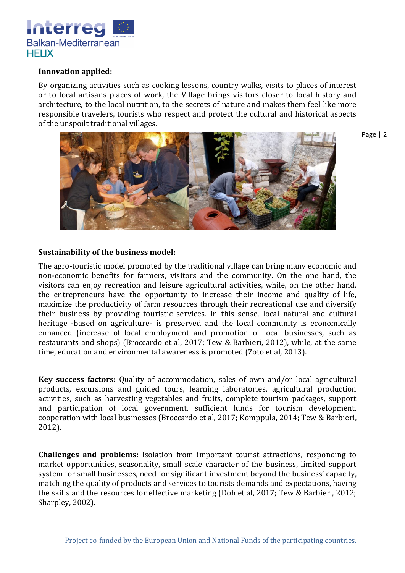

### **Innovation applied:**

By organizing activities such as cooking lessons, country walks, visits to places of interest or to local artisans places of work, the Village brings visitors closer to local history and architecture, to the local nutrition, to the secrets of nature and makes them feel like more responsible travelers, tourists who respect and protect the cultural and historical aspects of the unspoilt traditional villages.



Page | 2

### **Sustainability of the business model:**

The agro-touristic model promoted by the traditional village can bring many economic and non-economic benefits for farmers, visitors and the community. On the one hand, the visitors can enjoy recreation and leisure agricultural activities, while, on the other hand, the entrepreneurs have the opportunity to increase their income and quality of life, maximize the productivity of farm resources through their recreational use and diversify their business by providing touristic services. In this sense, local natural and cultural heritage -based on agriculture- is preserved and the local community is economically enhanced (increase of local employment and promotion of local businesses, such as restaurants and shops) (Broccardo et al, 2017; Tew & Barbieri, 2012), while, at the same time, education and environmental awareness is promoted (Zoto et al, 2013).

**Key success factors:** Quality of accommodation, sales of own and/or local agricultural products, excursions and guided tours, learning laboratories, agricultural production activities, such as harvesting vegetables and fruits, complete tourism packages, support and participation of local government, sufficient funds for tourism development, cooperation with local businesses (Broccardo et al, 2017; Komppula, 2014; Tew & Barbieri, 2012).

**Challenges and problems:** Isolation from important tourist attractions, responding to market opportunities, seasonality, small scale character of the business, limited support system for small businesses, need for significant investment beyond the business' capacity, matching the quality of products and services to tourists demands and expectations, having the skills and the resources for effective marketing (Doh et al, 2017; Tew & Barbieri, 2012; Sharpley, 2002).